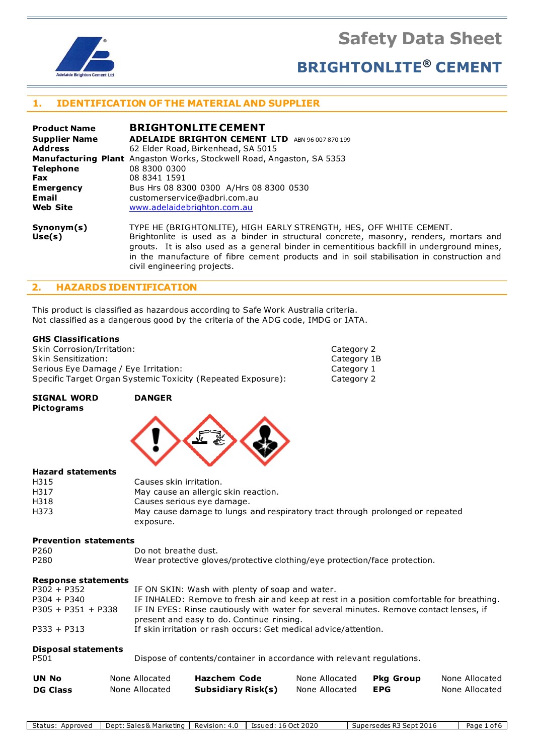**Safety Data Sheet**



# **BRIGHTONLITE® CEMENT**

# **1. IDENTIFICATION OF THE MATERIAL AND SUPPLIER**

| <b>Product Name</b>  | <b>BRIGHTONLITE CEMENT</b>                                                                                                                                                                                                                                                                                                                               |
|----------------------|----------------------------------------------------------------------------------------------------------------------------------------------------------------------------------------------------------------------------------------------------------------------------------------------------------------------------------------------------------|
| <b>Supplier Name</b> | <b>ADELAIDE BRIGHTON CEMENT LTD</b><br>ABN 96 007 870 199                                                                                                                                                                                                                                                                                                |
| <b>Address</b>       | 62 Elder Road, Birkenhead, SA 5015                                                                                                                                                                                                                                                                                                                       |
|                      | <b>Manufacturing Plant</b> Angaston Works, Stockwell Road, Angaston, SA 5353                                                                                                                                                                                                                                                                             |
| <b>Telephone</b>     | 08 8300 0300                                                                                                                                                                                                                                                                                                                                             |
| <b>Fax</b>           | 08 8341 1591                                                                                                                                                                                                                                                                                                                                             |
| <b>Emergency</b>     | Bus Hrs 08 8300 0300 A/Hrs 08 8300 0530                                                                                                                                                                                                                                                                                                                  |
| Email                | customerservice@adbri.com.au                                                                                                                                                                                                                                                                                                                             |
| <b>Web Site</b>      | www.adelaidebrighton.com.au                                                                                                                                                                                                                                                                                                                              |
| Synonym(s)<br>Use(s) | TYPE HE (BRIGHTONLITE), HIGH EARLY STRENGTH, HES, OFF WHITE CEMENT.<br>Brightonlite is used as a binder in structural concrete, masonry, renders, mortars and<br>grouts. It is also used as a general binder in cementitious backfill in underground mines,<br>in the manufacture of fibre cement products and in soil stabilisation in construction and |

### **2. HAZARDS IDENTIFICATION**

This product is classified as hazardous according to Safe Work Australia criteria. Not classified as a dangerous good by the criteria of the ADG code, IMDG or IATA.

civil engineering projects.

#### **GHS Classifications**

| Skin Corrosion/Irritation:                                   | Category 2  |
|--------------------------------------------------------------|-------------|
| Skin Sensitization:                                          | Category 1B |
| Serious Eye Damage / Eye Irritation:                         | Category 1  |
| Specific Target Organ Systemic Toxicity (Repeated Exposure): | Category 2  |

#### **SIGNAL WORD DANGER Pictograms**



#### **Hazard statements**

| H315 | Causes skin irritation.                                                       |
|------|-------------------------------------------------------------------------------|
| H317 | May cause an allergic skin reaction.                                          |
| H318 | Causes serious eye damage.                                                    |
| H373 | May cause damage to lungs and respiratory tract through prolonged or repeated |
|      | exposure.                                                                     |

#### **Prevention statements**

| P <sub>260</sub> | Do not breathe dust.                                                       |
|------------------|----------------------------------------------------------------------------|
| P <sub>280</sub> | Wear protective gloves/protective clothing/eye protection/face protection. |

#### **Response statements**

| IF INHALED: Remove to fresh air and keep at rest in a position comfortable for breathing. |
|-------------------------------------------------------------------------------------------|
| IF IN EYES: Rinse cautiously with water for several minutes. Remove contact lenses, if    |
|                                                                                           |
|                                                                                           |

| <b>Disposal statements</b><br>P501 |                | Dispose of contents/container in accordance with relevant regulations. |                |                  |                |  |
|------------------------------------|----------------|------------------------------------------------------------------------|----------------|------------------|----------------|--|
| <b>UN No</b>                       | None Allocated | Hazchem Code                                                           | None Allocated | <b>Pkg Group</b> | None Allocated |  |
| <b>DG Class</b>                    | None Allocated | Subsidiary Risk(s)                                                     | None Allocated | <b>EPG</b>       | None Allocated |  |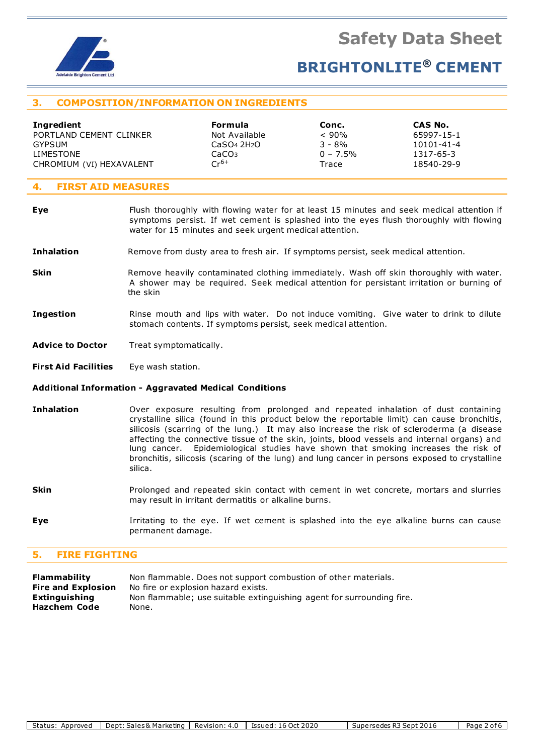

# **3. COMPOSITION/INFORMATION ON INGREDIENTS**

| Ingredient               | Formula                             | Conc.       | CAS No.          |
|--------------------------|-------------------------------------|-------------|------------------|
| PORTLAND CEMENT CLINKER  | Not Available                       | < 90%       | 65997-15-1       |
| GYPSUM                   | CaSO <sub>4</sub> 2H <sub>2</sub> O | $3 - 8%$    | $10101 - 41 - 4$ |
| LIMESTONE                | CaCO <sub>3</sub>                   | $0 - 7.5\%$ | 1317-65-3        |
| CHROMIUM (VI) HEXAVALENT | $Cr^{6+}$                           | Trace       | 18540-29-9       |
|                          |                                     |             |                  |

## **4. FIRST AID MEASURES**

| Eye               | Flush thoroughly with flowing water for at least 15 minutes and seek medical attention if<br>symptoms persist. If wet cement is splashed into the eyes flush thoroughly with flowing<br>water for 15 minutes and seek urgent medical attention. |  |  |  |
|-------------------|-------------------------------------------------------------------------------------------------------------------------------------------------------------------------------------------------------------------------------------------------|--|--|--|
| <b>Inhalation</b> | Remove from dusty area to fresh air. If symptoms persist, seek medical attention.                                                                                                                                                               |  |  |  |
| Skin              | Remove heavily contaminated clothing immediately. Wash off skin thoroughly with water.<br>A shower may be required. Seek medical attention for persistant irritation or burning of<br>the skin                                                  |  |  |  |
| Ingestion         | Rinse mouth and lips with water. Do not induce vomiting. Give water to drink to dilute<br>stomach contents. If symptoms persist, seek medical attention.                                                                                        |  |  |  |

Advice to Doctor Treat symptomatically.

**First Aid Facilities** Eye wash station.

#### **Additional Information - Aggravated Medical Conditions**

- **Inhalation** Over exposure resulting from prolonged and repeated inhalation of dust containing crystalline silica (found in this product below the reportable limit) can cause bronchitis, silicosis (scarring of the lung.) It may also increase the risk of scleroderma (a disease affecting the connective tissue of the skin, joints, blood vessels and internal organs) and lung cancer. Epidemiological studies have shown that smoking increases the risk of bronchitis, silicosis (scaring of the lung) and lung cancer in persons exposed to crystalline silica.
- **Skin** Prolonged and repeated skin contact with cement in wet concrete, mortars and slurries may result in irritant dermatitis or alkaline burns.
- **Eye I**rritating to the eye. If wet cement is splashed into the eye alkaline burns can cause permanent damage.

# **5. FIRE FIGHTING**

| <b>Flammability</b>       | Non flammable. Does not support combustion of other materials.        |
|---------------------------|-----------------------------------------------------------------------|
| <b>Fire and Explosion</b> | No fire or explosion hazard exists.                                   |
| <b>Extinguishing</b>      | Non flammable; use suitable extinguishing agent for surrounding fire. |
| Hazchem Code              | None.                                                                 |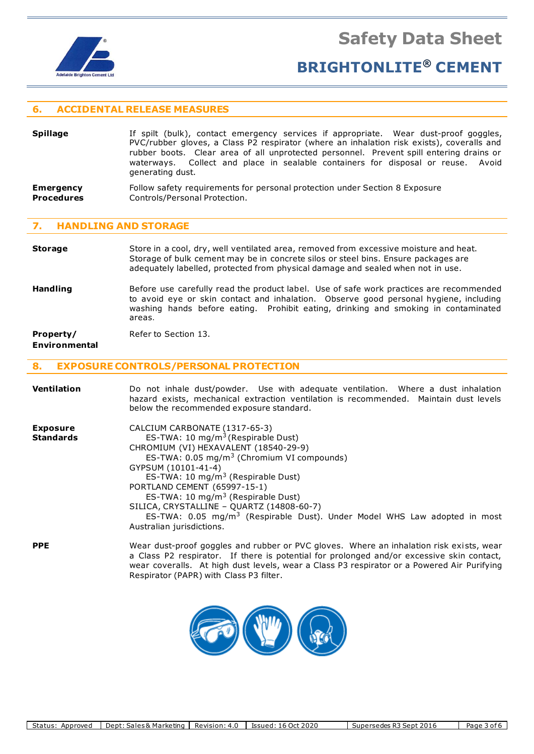

### **6. ACCIDENTAL RELEASE MEASURES**

- **Spillage** If spilt (bulk), contact emergency services if appropriate. Wear dust-proof goggles, PVC/rubber gloves, a Class P2 respirator (where an inhalation risk exists), coveralls and rubber boots. Clear area of all unprotected personnel. Prevent spill entering drains or waterways. Collect and place in sealable containers for disposal or reuse. Avoid generating dust.
- **Emergency** Follow safety requirements for personal protection under Section 8 Exposure **Procedures Controls/Personal Protection.**

#### **7. HANDLING AND STORAGE**

- **Storage** Store in a cool, dry, well ventilated area, removed from excessive moisture and heat. Storage of bulk cement may be in concrete silos or steel bins. Ensure packages are adequately labelled, protected from physical damage and sealed when not in use.
- **Handling** Before use carefully read the product label. Use of safe work practices are recommended to avoid eye or skin contact and inhalation. Observe good personal hygiene, including washing hands before eating. Prohibit eating, drinking and smoking in contaminated areas.

# **Property/** Refer to Section 13.

### **Environmental**

#### **8. EXPOSURE CONTROLS/PERSONAL PROTECTION**

| <b>Ventilation</b>                  | Do not inhale dust/powder. Use with adequate ventilation. Where a dust inhalation<br>hazard exists, mechanical extraction ventilation is recommended. Maintain dust levels<br>below the recommended exposure standard.                                                                                                                                                                                                                                                                       |
|-------------------------------------|----------------------------------------------------------------------------------------------------------------------------------------------------------------------------------------------------------------------------------------------------------------------------------------------------------------------------------------------------------------------------------------------------------------------------------------------------------------------------------------------|
| <b>Exposure</b><br><b>Standards</b> | CALCIUM CARBONATE (1317-65-3)<br>ES-TWA: 10 $mg/m3$ (Respirable Dust)<br>CHROMIUM (VI) HEXAVALENT (18540-29-9)<br>ES-TWA: $0.05 \text{ mg/m}^3$ (Chromium VI compounds)<br>GYPSUM (10101-41-4)<br>ES-TWA: 10 $mg/m3$ (Respirable Dust)<br>PORTLAND CEMENT (65997-15-1)<br>ES-TWA: 10 mg/m <sup>3</sup> (Respirable Dust)<br>SILICA, CRYSTALLINE - QUARTZ (14808-60-7)<br>ES-TWA: $0.05 \, \text{mg/m}^3$ (Respirable Dust). Under Model WHS Law adopted in most<br>Australian jurisdictions. |
| <b>PPE</b>                          | Wear dust-proof goggles and rubber or PVC gloves. Where an inhalation risk exists, wear<br>a Class P2 respirator. If there is potential for prolonged and/or excessive skin contact,<br>wear coveralls. At high dust levels, wear a Class P3 respirator or a Powered Air Purifying<br>Respirator (PAPR) with Class P3 filter.                                                                                                                                                                |

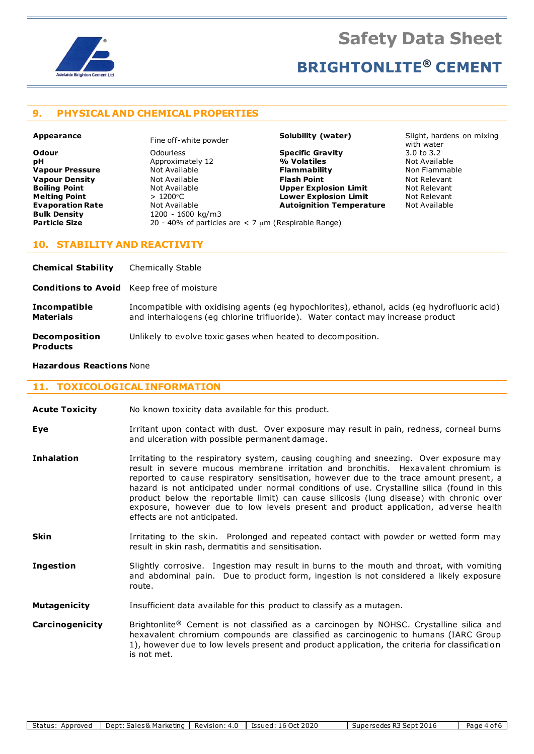

## **9. PHYSICAL AND CHEMICAL PROPERTIES**

**pH** Approximately 12 **Bulk Density** 1200 - 1600 kg/m3<br> **Particle Size** 20 - 40% of particle

**Melting Point**  $> 1200^{\circ}$ C **Lower Explosion Limit Evaporation Rate Not Available <b>Autoignition Temperature** Not Available **Bulk Density Autoical Accompany Bulk Density** 20 - 40% of particles are  $<$  7  $\mu$ m (Respirable Range)

**Odour** Odourless **Specific Gravity** 3.0 to 3.2 **Vapour Pressure** Not Available **Flammability** Non Flammable **Vapour Density** Not Available **Flash Point** Not Relevant **Boiling Point Not Available 19 (A) Upper Explosion Limit** Mot Relevant **Not Relevant Not Relevant Not Relevant Not Relevant** 

**Appearance** Fine off-white powder **Solubility (water)** Slight, hardens on mixing with water<br>3.0 to 3.2

#### **10. STABILITY AND REACTIVITY**

| <b>Chemical Stability</b>                        | <b>Chemically Stable</b>                                                                                                                                                        |
|--------------------------------------------------|---------------------------------------------------------------------------------------------------------------------------------------------------------------------------------|
| <b>Conditions to Avoid</b> Keep free of moisture |                                                                                                                                                                                 |
| <b>Incompatible</b><br><b>Materials</b>          | Incompatible with oxidising agents (eg hypochlorites), ethanol, acids (eg hydrofluoric acid)<br>and interhalogens (eq chlorine trifluoride). Water contact may increase product |
| <b>Decomposition</b><br><b>Products</b>          | Unlikely to evolve toxic gases when heated to decomposition.                                                                                                                    |

#### **Hazardous Reactions** None

### **11. TOXICOLOGICAL INFORMATION**

- **Acute Toxicity** No known toxicity data available for this product.
- **Eye I**rritant upon contact with dust. Over exposure may result in pain, redness, corneal burns and ulceration with possible permanent damage.
- **Inhalation** Irritating to the respiratory system, causing coughing and sneezing. Over exposure may result in severe mucous membrane irritation and bronchitis. Hexavalent chromium is reported to cause respiratory sensitisation, however due to the trace amount present, a hazard is not anticipated under normal conditions of use. Crystalline silica (found in this product below the reportable limit) can cause silicosis (lung disease) with chronic over exposure, however due to low levels present and product application, adverse health effects are not anticipated.
- **Skin I**rritating to the skin. Prolonged and repeated contact with powder or wetted form may result in skin rash, dermatitis and sensitisation.
- **Ingestion** Slightly corrosive. Ingestion may result in burns to the mouth and throat, with vomiting and abdominal pain. Due to product form, ingestion is not considered a likely exposure route.
- **Mutagenicity** Insufficient data available for this product to classify as a mutagen.
- **Carcinogenicity** Brightonlite**®** Cement is not classified as a carcinogen by NOHSC. Crystalline silica and hexavalent chromium compounds are classified as carcinogenic to humans (IARC Group 1), however due to low levels present and product application, the criteria for classification is not met.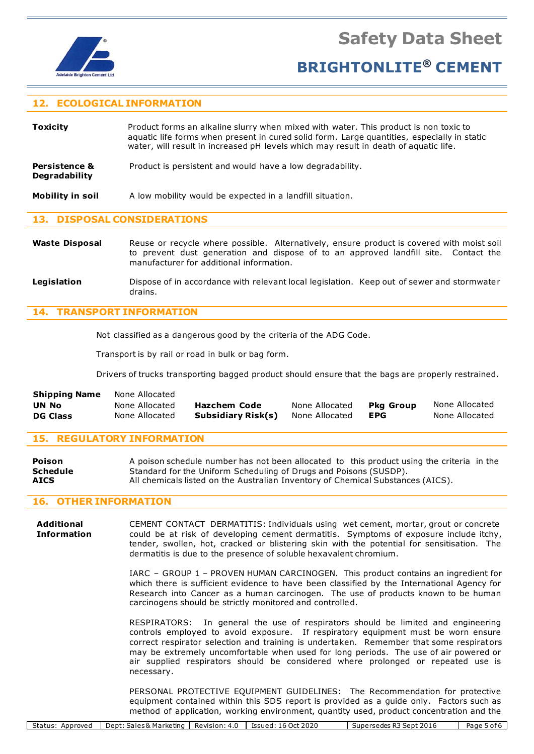

**Safety Data Sheet**

# **BRIGHTONLITE® CEMENT**

# **12. ECOLOGICAL INFORMATION**

**Toxicity** Product forms an alkaline slurry when mixed with water. This product is non toxic to aquatic life forms when present in cured solid form. Large quantities, especially in static water, will result in increased pH levels which may result in death of aquatic life.

**Persistence &** Product is persistent and would have a low degradability. **Degradability**

**Mobility in soil** A low mobility would be expected in a landfill situation.

## **13. DISPOSAL CONSIDERATIONS**

Waste Disposal Reuse or recycle where possible. Alternatively, ensure product is covered with moist soil to prevent dust generation and dispose of to an approved landfill site. Contact the manufacturer for additional information.

#### **Legislation** Dispose of in accordance with relevant local legislation. Keep out of sewer and stormwater drains.

# **14. TRANSPORT INFORMATION**

Not classified as a dangerous good by the criteria of the ADG Code.

Transport is by rail or road in bulk or bag form.

Drivers of trucks transporting bagged product should ensure that the bags are properly restrained.

| <b>Shipping Name</b> | None Allocated |                    |                |           |                |
|----------------------|----------------|--------------------|----------------|-----------|----------------|
| UN No                | None Allocated | Hazchem Code       | None Allocated | Pka Group | None Allocated |
| <b>DG Class</b>      | None Allocated | Subsidiary Risk(s) | None Allocated | EPG       | None Allocated |

## **15. REGULATORY INFORMATION**

**Poison** A poison schedule number has not been allocated to this product using the criteria in the **Schedule** Standard for the Uniform Scheduling of Drugs and Poisons (SUSDP). **AICS** All chemicals listed on the Australian Inventory of Chemical Substances (AICS).

## **16. OTHER INFORMATION**

**Additional** CEMENT CONTACT DERMATITIS: Individuals using wet cement, mortar, grout or concrete **Information** could be at risk of developing cement dermatitis. Symptoms of exposure include itchy, tender, swollen, hot, cracked or blistering skin with the potential for sensitisation. The dermatitis is due to the presence of soluble hexavalent chromium.

> IARC – GROUP 1 – PROVEN HUMAN CARCINOGEN. This product contains an ingredient for which there is sufficient evidence to have been classified by the International Agency for Research into Cancer as a human carcinogen. The use of products known to be human carcinogens should be strictly monitored and controlled.

> RESPIRATORS: In general the use of respirators should be limited and engineering controls employed to avoid exposure. If respiratory equipment must be worn ensure correct respirator selection and training is undertaken. Remember that some respirators may be extremely uncomfortable when used for long periods. The use of air powered or air supplied respirators should be considered where prolonged or repeated use is necessary.

> PERSONAL PROTECTIVE EQUIPMENT GUIDELINES: The Recommendation for protective equipment contained within this SDS report is provided as a guide only. Factors such as method of application, working environment, quantity used, product concentration and the